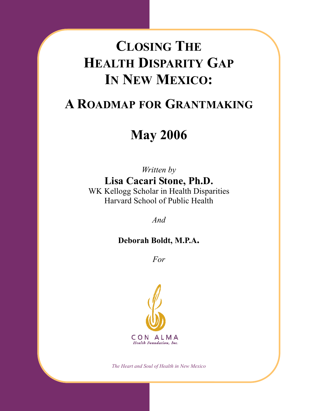# CLOSING THE HEALTH DISPARITY GAP IN NEW MEXICO:

# A ROADMAP FOR GRANTMAKING

# May 2006

Written by Lisa Cacari Stone, Ph.D. WK Kellogg Scholar in Health Disparities Harvard School of Public Health

And

## Deborah Boldt, M.P.A.

For



The Heart and Soul of Health in New Mexico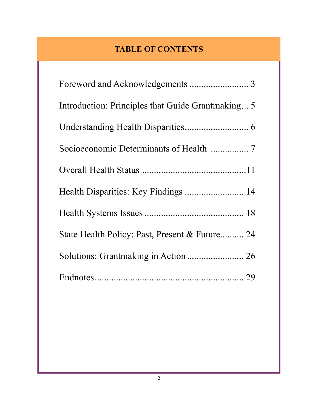# TABLE OF CONTENTS

| Introduction: Principles that Guide Grantmaking 5 |
|---------------------------------------------------|
|                                                   |
|                                                   |
|                                                   |
|                                                   |
|                                                   |
| State Health Policy: Past, Present & Future 24    |
|                                                   |
|                                                   |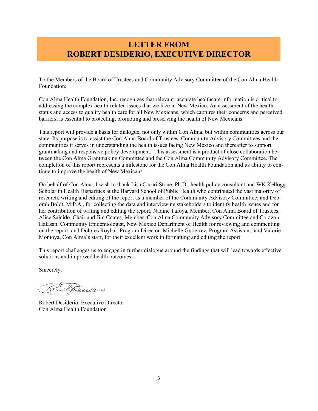### LETTER FROM ROBERT DESIDERIO, EXECUTIVE DIRECTOR

To the Members of the Board of Trustees and Community Advisory Committee of the Con Alma Health Foundation:

Con Alma Health Foundation, Inc. recognizes that relevant, accurate healthcare information is critical to addressing the complex health-related issues that we face in New Mexico. An assessment of the health status and access to quality health care for all New Mexicans, which captures their concerns and perceived barriers, is essential to protecting, promoting and preserving the health of New Mexicans.

This report will provide a basis for dialogue, not only within Con Alma, but within communities across our state. Its purpose is to assist the Con Alma Board of Trustees, Community Advisory Committees and the communities it serves in understanding the health issues facing New Mexico and thereafter to support grantmaking and responsive policy development. This assessment is a product of close collaboration between the Con Alma Grantmaking Committee and the Con Alma Community Advisory Committee. The completion of this report represents a milestone for the Con Alma Health Foundation and its ability to continue to improve the health of New Mexicans.

On behalf of Con Alma, I wish to thank Lisa Cacari Stone, Ph.D., health policy consultant and WK Kellogg Scholar in Health Disparities at the Harvard School of Public Health who contributed the vast majority of research, writing and editing of the report as a member of the Community Advisory Committee; and Deborah Boldt, M.P.A., for collecting the data and interviewing stakeholders to identify health issues and for her contribution of writing and editing the report; Nadine Tafoya, Member, Con Alma Board of Trustees, Alice Salcido, Chair and Jim Coates, Member, Con Alma Community Advisory Committee and Corazón Halasan, Community Epidemiologist, New Mexico Department of Health for reviewing and commenting on the report; and Dolores Roybal, Program Director; Michelle Gutierrez, Program Assistant; and Valorie Montoya, Con Alma's staff, for their excellent work in formatting and editing the report.

This report challenges us to engage in further dialogue around the findings that will lead towards effective solutions and improved health outcomes.

Sincerely,

Totulpesiden

Robert Desiderio, Executive Director Con Alma Health Foundation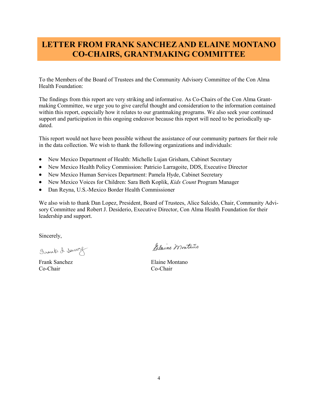## LETTER FROM FRANK SANCHEZ AND ELAINE MONTANO CO-CHAIRS, GRANTMAKING COMMITTEE

To the Members of the Board of Trustees and the Community Advisory Committee of the Con Alma Health Foundation:

The findings from this report are very striking and informative. As Co-Chairs of the Con Alma Grantmaking Committee, we urge you to give careful thought and consideration to the information contained within this report, especially how it relates to our grantmaking programs. We also seek your continued support and participation in this ongoing endeavor because this report will need to be periodically updated.

This report would not have been possible without the assistance of our community partners for their role in the data collection. We wish to thank the following organizations and individuals:

- New Mexico Department of Health: Michelle Lujan Grisham, Cabinet Secretary
- New Mexico Health Policy Commission: Patricio Larragoite, DDS, Executive Director
- New Mexico Human Services Department: Pamela Hyde, Cabinet Secretary
- New Mexico Voices for Children: Sara Beth Koplik, *Kids Count* Program Manager
- Dan Reyna, U.S.-Mexico Border Health Commissioner

We also wish to thank Dan Lopez, President, Board of Trustees, Alice Salcido, Chair, Community Advisory Committee and Robert J. Desiderio, Executive Director, Con Alma Health Foundation for their leadership and support.

Sincerely,

Sounds A. Dennez

Co-Chair Co-Chair

Palaine montaño

Frank Sanchez Elaine Montano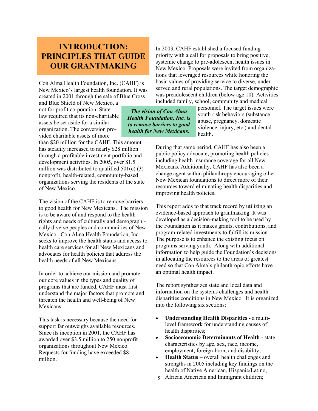## INTRODUCTION: PRINCIPLES THAT GUIDE OUR GRANTMAKING

Con Alma Health Foundation, Inc. (CAHF) is New Mexico's largest health foundation. It was created in 2001 through the sale of Blue Cross

and Blue Shield of New Mexico, a not for profit corporation. State law required that its non-charitable assets be set aside for a similar organization. The conversion provided charitable assets of more

than \$20 million for the CAHF. This amount has steadily increased to nearly \$28 million through a profitable investment portfolio and development activities. In 2005, over \$1.5 million was distributed to qualified  $501(c)$  (3) nonprofit, health-related, community-based organizations serving the residents of the state of New Mexico.

The vision of the CAHF is to remove barriers to good health for New Mexicans. The mission is to be aware of and respond to the health rights and needs of culturally and demographically diverse peoples and communities of New Mexico. Con Alma Health Foundation, Inc. seeks to improve the health status and access to health care services for all New Mexicans and advocates for health policies that address the health needs of all New Mexicans.

In order to achieve our mission and promote our core values in the types and quality of programs that are funded, CAHF must first understand the major factors that promote and threaten the health and well-being of New Mexicans.

This task is necessary because the need for support far outweighs available resources. Since its inception in 2001, the CAHF has awarded over \$3.5 million to 250 nonprofit organizations throughout New Mexico. Requests for funding have exceeded \$8 million.

In 2003, CAHF established a focused funding priority with a call for proposals to bring positive, systemic change to pre-adolescent health issues in New Mexico. Proposals were invited from organizations that leveraged resources while honoring the basic values of providing service to diverse, underserved and rural populations. The target demographic was preadolescent children (below age 10). Activities included family, school, community and medical

The vision of Con Alma Health Foundation, Inc. is to remove barriers to good health for New Mexicans.

personnel. The target issues were youth risk behaviors (substance abuse, pregnancy, domestic violence, injury, etc.) and dental health.

During that same period, CAHF has also been a public policy advocate, promoting health policies including health insurance coverage for all New Mexicans. Additionally, CAHF has also been a change agent within philanthropy encouraging other New Mexican foundations to direct more of their resources toward eliminating health disparities and improving health policies.

This report adds to that track record by utilizing an evidence-based approach to grantmaking. It was developed as a decision-making tool to be used by the Foundation as it makes grants, contributions, and program-related investments to fulfill its mission. The purpose is to enhance the existing focus on programs serving youth. Along with additional information to help guide the Foundation's decisions in allocating the resources to the areas of greatest need so that Con Alma's philanthropic efforts have an optimal health impact.

The report synthesizes state and local data and information on the systems challenges and health disparities conditions in New Mexico. It is organized into the following six sections:

- Understanding Health Disparities a multilevel framework for understanding causes of health disparities;
- Socioeconomic Determinants of Health state characteristics by age, sex, race, income, employment, foreign-born, and disability;
- Health Status overall health challenges and strengths in 2005 including key findings on the health of Native American, Hispanic/Latino,
- 5 African American and Immigrant children;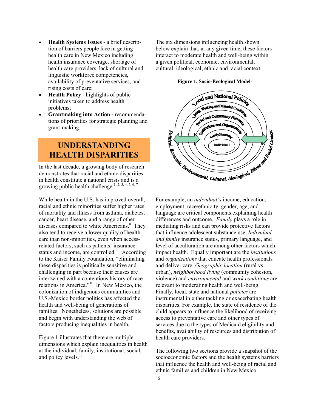- Health Systems Issues a brief description of barriers people face in getting health care in New Mexico including health insurance coverage, shortage of health care providers, lack of cultural and linguistic workforce competencies, availability of preventative services, and rising costs of care;
- Health Policy highlights of public initiatives taken to address health problems;
- Grantmaking into Action recommendations of priorities for strategic planning and grant-making.

## UNDERSTANDING HEALTH DISPARITIES

In the last decade, a growing body of research demonstrates that racial and ethnic disparities in health constitute a national crisis and is a growing public health challenge.<sup>1, 2, 3, 4, 5, 6, 7</sup>

While health in the U.S. has improved overall, racial and ethnic minorities suffer higher rates of mortality and illness from asthma, diabetes, cancer, heart disease, and a range of other diseases compared to white Americans.<sup>8</sup> They also tend to receive a lower quality of healthcare than non-minorities, even when accessrelated factors, such as patients' insurance status and income, are controlled.<sup>9</sup> According to the Kaiser Family Foundation, "eliminating these disparities is politically sensitive and challenging in part because their causes are intertwined with a contentious history of race relations in America."<sup>10</sup> In New Mexico, the colonization of indigenous communities and U.S.-Mexico border politics has affected the health and well-being of generations of families. Nonetheless, solutions are possible and begin with understanding the web of factors producing inequalities in health.

Figure 1 illustrates that there are multiple dimensions which explain inequalities in health at the individual, family, institutional, social, and policy levels.<sup>11</sup>

The six dimensions influencing health shown below explain that, at any given time, these factors interact to moderate health and well-being within a given political, economic, environmental, cultural, ideological, ethnic and racial context.

Figure 1. Socio-Ecological Model-



For example, an *individual's* income, education, employment, race/ethnicity, gender, age, and language are critical components explaining health differences and outcome. Family plays a role in mediating risks and can provide protective factors that influence adolescent substance use. Individual and family insurance status, primary language, and level of acculturation are among other factors which impact health. Equally important are the institutions and organizations that educate health professionals and deliver care. Geographic location (rural vs. urban), neighborhood living (community cohesion, violence) and environmental and work conditions are relevant to moderating health and well-being. Finally, local, state and national policies are instrumental in either tackling or exacerbating health disparities. For example, the state of residence of the child appears to influence the likelihood of receiving access to preventative care and other types of services due to the types of Medicaid eligibility and benefits, availability of resources and distribution of health care providers.

The following two sections provide a snapshot of the socioeconomic factors and the health systems barriers that influence the health and well-being of racial and ethnic families and children in New Mexico.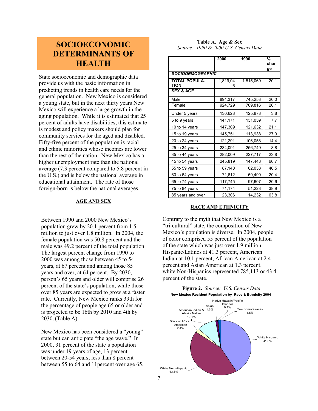### SOCIOECONOMIC DETERMINANTS OF HEALTH

State socioeconomic and demographic data provide us with the basic information in predicting trends in health care needs for the general population. New Mexico is considered a young state, but in the next thirty years New Mexico will experience a large growth in the aging population. While it is estimated that 25 percent of adults have disabilities, this estimate is modest and policy makers should plan for community services for the aged and disabled. Fifty-five percent of the population is racial and ethnic minorities whose incomes are lower than the rest of the nation. New Mexico has a higher unemployment rate than the national average (7.3 percent compared to 5.8 percent in the U.S.) and is below the national average in educational attainment. The rate of those foreign-born is below the national averages.

#### AGE AND SEX

Between 1990 and 2000 New Mexico's population grew by 20.1 percent from 1.5 million to just over 1.8 million. In 2004, the female population was 50.8 percent and the male was 49.2 percent of the total population. The largest percent change from 1990 to 2000 was among those between 45 to 54 years, at 67 percent and among those 85 years and over, at 64 percent. By 2030, person's 65 years and older will comprise 26 percent of the state's population, while those over 85 years are expected to grow at a faster rate. Currently, New Mexico ranks 39th for the percentage of people age 65 or older and is projected to be 16th by 2010 and 4th by 2030.(Table A)

New Mexico has been considered a "young" state but can anticipate "the age wave." In 2000, 31 percent of the state's population was under 19 years of age, 13 percent between 20-54 years, less than 8 percent between 55 to 64 and 11percent over age 65.

| Table A. Age & Sex                   |
|--------------------------------------|
| Source: 1990 & 2000 U.S. Census Data |

|                                     | 2000          | 1990      | %<br>chan<br>ge |  |
|-------------------------------------|---------------|-----------|-----------------|--|
| <b>SOCIODEMOGRAPHIC</b>             |               |           |                 |  |
| <b>TOTAL POPULA-</b><br><b>TION</b> | 1,819,04<br>6 | 1,515,069 | 20.1            |  |
| <b>SEX &amp; AGE</b>                |               |           |                 |  |
| Male                                | 894,317       | 745,253   | 20.0            |  |
| Female                              | 924,729       | 769,816   | 20.1            |  |
| Under 5 years                       | 130,628       | 125,878   | 3.8             |  |
| 5 to 9 years                        | 141,171       | 131,059   | 7.7             |  |
| 10 to 14 years                      | 147,309       | 121,632   | 21.1            |  |
| 15 to 19 years                      | 145,751       | 113,938   | 27.9            |  |
| 20 to 24 years                      | 121,291       | 106,058   | 14.4            |  |
| 25 to 34 years                      | 234,091       | 256,749   | $-8.8$          |  |
| 35 to 44 years                      | 282,009       | 227,717   | 23.8            |  |
| 45 to 54 years                      | 245,819       | 147,448   | 66.7            |  |
| 55 to 59 years                      | 87,140        | 62,038    | 40.5            |  |
| 60 to 64 years                      | 71,612        | 59,490    | 20.4            |  |
| 65 to 74 years                      | 117,745       | 97,607    | 20.6            |  |
| 75 to 84 years                      | 71,174        | 51,223    | 38.9            |  |
| 85 years and over                   | 23,306        | 14,232    | 63.8            |  |

#### RACE AND ETHNICITY

Contrary to the myth that New Mexico is a "tri-cultural" state, the composition of New Mexico's population is diverse. In 2004, people of color comprised 55 percent of the population of the state which was just over 1.9 million: Hispanic/Latinos at 41.3 percent, American Indian at 10.1 percent, African American at 2.4 percent and Asian American at 1.3 percent. white Non-Hispanics represented 785,113 or 43.4 percent of the state.

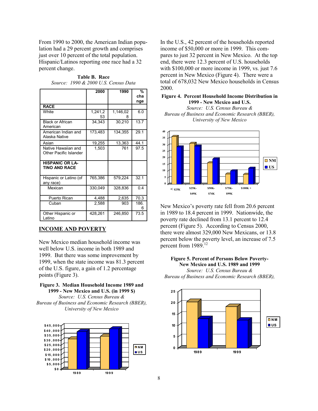From 1990 to 2000, the American Indian population had a 29 percent growth and comprises just over 10 percent of the total population. Hispanic/Latinos reporting one race had a 32 percent change.

|                                                | 2000          | 1990          | %          |
|------------------------------------------------|---------------|---------------|------------|
|                                                |               |               | cha<br>nge |
| <b>RACE</b>                                    |               |               |            |
| White                                          | 1,241,2<br>53 | 1,146,02<br>8 | 6.0        |
| <b>Black or African</b><br>American            | 34,343        | 30,210        | 13.7       |
| American Indian and<br>Alaska Native           | 173,483       | 134,355       | 29.1       |
| Asian                                          | 19,255        | 13,363        | 44.1       |
| Native Hawaiian and<br>Other Pacific Islander  | 1,503         | 761           | 97.5       |
| <b>HISPANIC OR LA-</b><br><b>TINO AND RACE</b> |               |               |            |
| Hispanic or Latino (of<br>any race)            | 765,386       | 579,224       | 32.1       |
| Mexican                                        | 330,049       | 328,836       | 0.4        |
| Puerto Rican                                   | 4,488         | 2,635         | 70.3       |
| Cuban                                          | 2,588         | 903           | 186.<br>6  |
| Other Hispanic or<br>Latino                    | 428,261       | 246,850       | 73.5       |

Table B. Race Source: 1990 & 2000 U.S. Census Data

#### INCOME AND POVERTY

New Mexico median household income was well below U.S. income in both 1989 and 1999. But there was some improvement by 1999, when the state income was 81.3 percent of the U.S. figure, a gain of 1.2 percentage points (Figure 3).

#### Figure 3. Median Household Income 1989 and 1999 - New Mexico and U.S. (in 1999 \$)

Source: U.S. Census Bureau & Bureau of Business and Economic Research (BBER), University of New Mexico



In the U.S., 42 percent of the households reported income of \$50,000 or more in 1999. This compares to just 32 percent in New Mexico. At the top end, there were 12.3 percent of U.S. households with \$100,000 or more income in 1999, vs. just 7.6 percent in New Mexico (Figure 4). There were a total of 678,032 New Mexico households in Census 2000.

#### Figure 4. Percent Household Income Distribution in 1999 - New Mexico and U.S.

Source: U.S. Census Bureau & Bureau of Business and Economic Research (BBER), University of New Mexico



New Mexico's poverty rate fell from 20.6 percent in 1989 to 18.4 percent in 1999. Nationwide, the poverty rate declined from 13.1 percent to 12.4 percent (Figure 5). According to Census 2000, there were almost 329,000 New Mexicans, or 13.8 percent below the poverty level, an increase of 7.5 percent from 1989.<sup>12</sup>

#### Figure 5. Percent of Persons Below Poverty-New Mexico and U.S. 1989 and 1999

Source: U.S. Census Bureau & Bureau of Business and Economic Research (BBER),

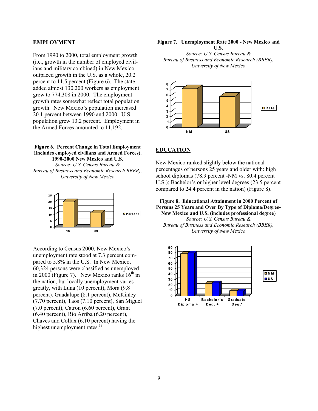#### EMPLOYMENT

From 1990 to 2000, total employment growth (i.e., growth in the number of employed civilians and military combined) in New Mexico outpaced growth in the U.S. as a whole, 20.2 percent to 11.5 percent (Figure 6). The state added almost 130,200 workers as employment grew to 774,308 in 2000. The employment growth rates somewhat reflect total population growth. New Mexico's population increased 20.1 percent between 1990 and 2000. U.S. population grew 13.2 percent. Employment in the Armed Forces amounted to 11,192.

#### Figure 6. Percent Change in Total Employment (Includes employed civilians and Armed Forces). 1990-2000 New Mexico and U.S.

Source: U.S. Census Bureau & Bureau of Business and Economic Research BBER), University of New Mexico



According to Census 2000, New Mexico's unemployment rate stood at 7.3 percent compared to 5.8% in the U.S. In New Mexico, 60,324 persons were classified as unemployed in 2000 (Figure 7). New Mexico ranks  $16<sup>th</sup>$  in the nation, but locally unemployment varies greatly, with Luna (10 percent), Mora (9.8 percent), Guadalupe (8.1 percent), McKinley (7.70 percent), Taos (7.10 percent), San Miguel (7.0 percent), Catron (6.60 percent), Grant (6.40 percent), Rio Arriba (6.20 percent), Chaves and Colfax (6.10 percent) having the highest unemployment rates.<sup>13</sup>

#### Figure 7. Unemployment Rate 2000 - New Mexico and U.S.

Source: U.S. Census Bureau & Bureau of Business and Economic Research (BBER), University of New Mexico



#### EDUCATION

New Mexico ranked slightly below the national percentages of persons 25 years and older with: high school diplomas (78.9 percent -NM vs. 80.4 percent U.S.); Bachelor's or higher level degrees (23.5 percent compared to 24.4 percent in the nation) (Figure 8).

Figure 8. Educational Attainment in 2000 Percent of Persons 25 Years and Over By Type of Diploma/Degree-New Mexico and U.S. (includes professional degree)

Source: U.S. Census Bureau & Bureau of Business and Economic Research (BBER), University of New Mexico

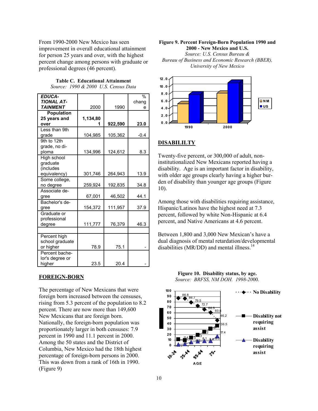From 1990-2000 New Mexico has seen improvement in overall educational attainment for person 25 years and over, with the highest percent change among persons with graduate or professional degrees (46 percent).

> Table C. Educational Attainment Source: 1990 & 2000 U.S. Census Data

| <b>EDUCA-</b><br><b>TIONAL AT-</b>                   |          |         | $\%$<br>chang |
|------------------------------------------------------|----------|---------|---------------|
| <b>TAINMENT</b>                                      | 2000     | 1990    | e             |
| <b>Population</b><br>25 years and<br>over            | 1,134,80 | 922,590 | 23.0          |
| Less than 9th<br>grade                               | 104,985  | 105,362 | $-0.4$        |
| 9th to 12th<br>grade, no di-<br>ploma                | 134,996  | 124,612 | 8.3           |
| High school<br>graduate<br>(includes<br>equivalency) | 301,746  | 264,943 | 13.9          |
| Some college,<br>no degree                           | 259,924  | 192,835 | 34.8          |
| Associate de-<br>gree                                | 67,001   | 46,502  | 44.1          |
| Bachelor's de-<br>gree                               | 154,372  | 111,957 | 37.9          |
| Graduate or<br>professional<br>degree                | 111,777  | 76,379  | 46.3          |
| Percent high<br>school graduate<br>or higher         | 78.9     | 75.1    |               |
| Percent bache-<br>lor's degree or<br>higher          | 23.5     | 20.4    |               |

#### FOREIGN-BORN

The percentage of New Mexicans that were foreign born increased between the censuses, rising from 5.3 percent of the population to 8.2 percent. There are now more than 149,600 New Mexicans that are foreign born. Nationally, the foreign-born population was proportionately larger in both censuses: 7.9 percent in 1990 and 11.1 percent in 2000. Among the 50 states and the District of Columbia, New Mexico had the 18th highest percentage of foreign-born persons in 2000. This was down from a rank of 16th in 1990. (Figure 9)

#### Figure 9. Percent Foreign-Born Population 1990 and 2000 - New Mexico and U.S. Source: U.S. Census Bureau & Bureau of Business and Economic Research (BBER), University of New Mexico



#### DISABILILTY

Twenty-five percent, or 300,000 of adult, noninstitutionalized New Mexicans reported having a disability. Age is an important factor in disability, with older age groups clearly having a higher burden of disability than younger age groups (Figure 10).

Among those with disabilities requiring assistance, Hispanic/Latinos have the highest need at 7.3 percent, followed by white Non-Hispanic at 6.4 percent, and Native Americans at 4.6 percent.

Between 1,800 and 3,000 New Mexican's have a dual diagnosis of mental retardation/developmental disabilities ( $MR/DD$ ) and mental illness.<sup>14</sup>



#### Figure 10. Disability status, by age. Source: BRFSS, NM DOH. 1998-2000.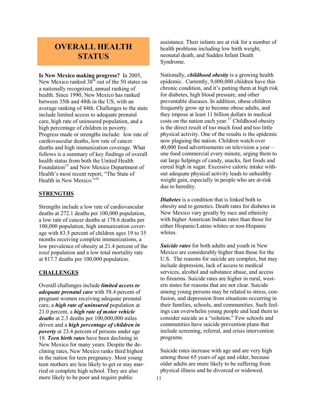### OVERALL HEALTH **STATUS**

Is New Mexico making progress? In 2005, New Mexico ranked  $38<sup>th</sup>$  out of the 50 states on a nationally recognized, annual ranking of health. Since 1990, New Mexico has ranked between 35th and 48th in the US, with an average ranking of 44th. Challenges to the state include limited access to adequate prenatal care, high rate of uninsured population, and a high percentage of children in poverty. Progress made or strengths include: low rate of cardiovascular deaths, low rate of cancer deaths and high immunization coverage. What follows is a summary of key findings of overall health status from both the United Health Foundation<sup>15</sup> and New Mexico Department of Health's most recent report, "The State of Health in New Mexico.<sup>516</sup>

#### **STRENGTHS**

Strengths include a low rate of cardiovascular deaths at 272.1 deaths per 100,000 population, a low rate of cancer deaths at 178.6 deaths per 100,000 population, high immunization coverage with 83.5 percent of children ages 19 to 35 months receiving complete immunizations, a low prevalence of obesity at 21.4 percent of the total population and a low total mortality rate at 817.7 deaths per 100,000 population.

#### **CHALLENGES**

Overall challenges include limited access to adequate prenatal care with 58.4 percent of pregnant women receiving adequate prenatal care, a high rate of uninsured population at 21.0 percent, a *high rate of motor vehicle* deaths at 2.3 deaths per 100,000,000 miles driven and a high percentage of children in poverty at 23.4 percent of persons under age 18. Teen birth rates have been declining in New Mexico for many years. Despite the declining rates, New Mexico ranks third highest in the nation for teen pregnancy. Most young teen mothers are less likely to get or stay married or complete high school. They are also more likely to be poor and require public

assistance. Their infants are at risk for a number of health problems including low birth weight, neonatal death, and Sudden Infant Death Syndrome.

Nationally, *childhood obesity* is a growing health epidemic. Currently, 9,000,000 children have this chronic condition, and it's putting them at high risk for diabetes, high blood pressure, and other preventable diseases. In addition, obese children frequently grow up to become obese adults, and they impose at least 11 billion dollars in medical costs on the nation each year.<sup>17</sup> Childhood obesity is the direct result of too much food and too little physical activity. One of the results is the epidemic now plaguing the nation. Children watch over 40,000 food advertisements on television a year – one food commercial every minute, urging them to eat large helpings of candy, snacks, fast foods and cereal high in sugar. Excessive caloric intake without adequate physical activity leads to unhealthy weight gain, especially in people who are at-risk due to heredity.

**Diabetes** is a condition that is linked both to obesity and to genetics. Death rates for diabetes in New Mexico vary greatly by race and ethnicity with higher American Indian rates than those for either Hispanic/Latino whites or non-Hispanic whites.

Suicide rates for both adults and youth in New Mexico are considerably higher than those for the U.S. The reasons for suicide are complex, but may include depression, lack of access to medical services, alcohol and substance abuse, and access to firearms. Suicide rates are higher in rural, western states for reasons that are not clear. Suicide among young persons may be related to stress, confusion, and depression from situations occurring in their families, schools, and communities. Such feelings can overwhelm young people and lead them to consider suicide as a "solution." Few schools and communities have suicide prevention plans that include screening, referral, and crisis intervention programs.

Suicide rates increase with age and are very high among those 65 years of age and older, because older adults are more likely to be suffering from physical illness and be divorced or widowed.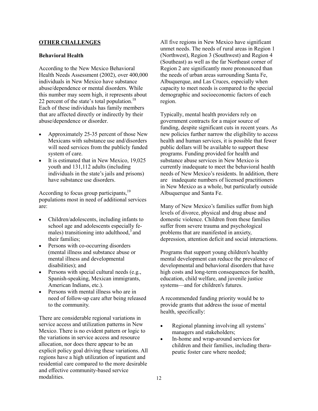#### OTHER CHALLENGES

#### Behavioral Health

According to the New Mexico Behavioral Health Needs Assessment (2002), over 400,000 individuals in New Mexico have substance abuse/dependence or mental disorders. While this number may seem high, it represents about 22 percent of the state's total population.<sup>18</sup> Each of these individuals has family members that are affected directly or indirectly by their abuse/dependence or disorder.

- Approximately 25-35 percent of those New Mexicans with substance use and/disorders will need services from the publicly funded system of care.
- It is estimated that in New Mexico, 19,025 youth and 131,112 adults (including individuals in the state's jails and prisons) have substance use disorders.

According to focus group participants,<sup>19</sup> populations most in need of additional services are:

- Children/adolescents, including infants to school age and adolescents especially females) transitioning into adulthood, $3$  and their families;
- Persons with co-occurring disorders (mental illness and substance abuse or mental illness and developmental disabilities); and
- Persons with special cultural needs (e.g., Spanish-speaking, Mexican immigrants, American Indians, etc.).
- Persons with mental illness who are in need of follow-up care after being released to the community.

There are considerable regional variations in service access and utilization patterns in New Mexico. There is no evident pattern or logic to the variations in service access and resource allocation, nor does there appear to be an explicit policy goal driving these variations. All regions have a high utilization of inpatient and residential care compared to the more desirable and effective community-based service modalities.

All five regions in New Mexico have significant unmet needs. The needs of rural areas in Region 1 (Northwest), Region 3 (Southwest) and Region 4 (Southeast) as well as the far Northeast corner of Region 2 are significantly more pronounced than the needs of urban areas surrounding Santa Fe, Albuquerque, and Las Cruces, especially when capacity to meet needs is compared to the special demographic and socioeconomic factors of each region.

Typically, mental health providers rely on government contracts for a major source of funding, despite significant cuts in recent years. As new policies further narrow the eligibility to access health and human services, it is possible that fewer public dollars will be available to support these programs. Funding provided for health and substance abuse services in New Mexico is currently inadequate to meet the behavioral health needs of New Mexico's residents. In addition, there are inadequate numbers of licensed practitioners in New Mexico as a whole, but particularly outside Albuquerque and Santa Fe.

Many of New Mexico's families suffer from high levels of divorce, physical and drug abuse and domestic violence. Children from these families suffer from severe trauma and psychological problems that are manifested in anxiety, depression, attention deficit and social interactions.

Programs that support young children's healthy mental development can reduce the prevalence of developmental and behavioral disorders that have high costs and long-term consequences for health, education, child welfare, and juvenile justice systems—and for children's futures.

A recommended funding priority would be to provide grants that address the issue of mental health, specifically:

- Regional planning involving all systems' managers and stakeholders;
- In-home and wrap-around services for children and their families, including therapeutic foster care where needed;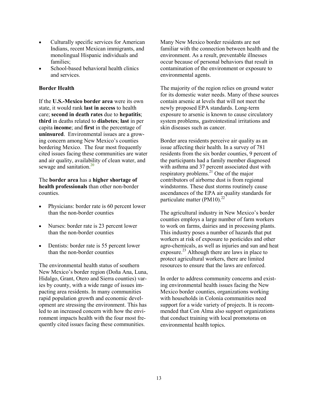- Culturally specific services for American Indians, recent Mexican immigrants, and monolingual Hispanic individuals and families;
- School-based behavioral health clinics and services.

#### Border Health

If the U.S.-Mexico border area were its own state, it would rank last in access to health care; second in death rates due to hepatitis; third in deaths related to diabetes; last in per capita income; and first in the percentage of uninsured. Environmental issues are a growing concern among New Mexico's counties bordering Mexico. The four most frequently cited issues facing these communities are water and air quality, availability of clean water, and sewage and sanitation.<sup>20</sup>

The border area has a higher shortage of health professionals than other non-border counties.

- Physicians: border rate is 60 percent lower than the non-border counties
- Nurses: border rate is 23 percent lower than the non-border counties
- Dentists: border rate is 55 percent lower than the non-border counties

The environmental health status of southern New Mexico's border region (Doña Ana, Luna, Hidalgo, Grant, Otero and Sierra counties) varies by county, with a wide range of issues impacting area residents. In many communities rapid population growth and economic development are stressing the environment. This has led to an increased concern with how the environment impacts health with the four most frequently cited issues facing these communities.

Many New Mexico border residents are not familiar with the connection between health and the environment. As a result, preventable illnesses occur because of personal behaviors that result in contamination of the environment or exposure to environmental agents.

The majority of the region relies on ground water for its domestic water needs. Many of these sources contain arsenic at levels that will not meet the newly proposed EPA standards. Long-term exposure to arsenic is known to cause circulatory system problems, gastrointestinal irritations and skin diseases such as cancer.

Border area residents perceive air quality as an issue affecting their health. In a survey of 781 residents from the six border counties, 9 percent of the participants had a family member diagnosed with asthma and 37 percent associated dust with respiratory problems.<sup>21</sup> One of the major contributors of airborne dust is from regional windstorms. These dust storms routinely cause ascendances of the EPA air quality standards for particulate matter  $(PM10)^{22}$ 

The agricultural industry in New Mexico's border counties employs a large number of farm workers to work on farms, dairies and in processing plants. This industry poses a number of hazards that put workers at risk of exposure to pesticides and other agro-chemicals, as well as injuries and sun and heat exposure.<sup>23</sup> Although there are laws in place to protect agricultural workers, there are limited resources to ensure that the laws are enforced.

In order to address community concerns and existing environmental health issues facing the New Mexico border counties, organizations working with households in Colonia communities need support for a wide variety of projects. It is recommended that Con Alma also support organizations that conduct training with local promotoras on environmental health topics.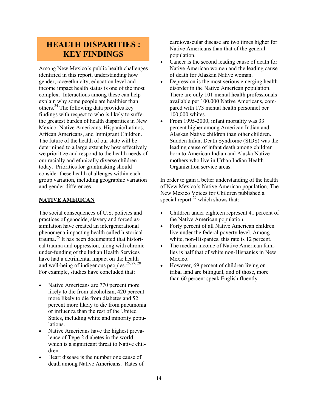### HEALTH DISPARITIES : KEY FINDINGS

Among New Mexico's public health challenges identified in this report, understanding how gender, race/ethnicity, education level and income impact health status is one of the most complex. Interactions among these can help explain why some people are healthier than others.<sup>24</sup> The following data provides key findings with respect to who is likely to suffer the greatest burden of health disparities in New Mexico: Native Americans, Hispanic/Latinos, African Americans, and Immigrant Children. The future of the health of our state will be determined to a large extent by how effectively we prioritize and respond to the health needs of our racially and ethnically diverse children today. Priorities for grantmaking should consider these health challenges within each group variation, including geographic variation and gender differences.

#### NATIVE AMERICAN

The social consequences of U.S. policies and practices of genocide, slavery and forced assimilation have created an intergenerational phenomena impacting health called historical trauma.<sup>25</sup> It has been documented that historical trauma and oppression, along with chronic under-funding of the Indian Health Services have had a detrimental impact on the health and well-being of indigenous peoples.<sup>26, 27, 28</sup> For example, studies have concluded that:

- Native Americans are 770 percent more likely to die from alcoholism, 420 percent more likely to die from diabetes and 52 percent more likely to die from pneumonia or influenza than the rest of the United States, including white and minority populations.
- Native Americans have the highest prevalence of Type 2 diabetes in the world, which is a significant threat to Native children.
- Heart disease is the number one cause of death among Native Americans. Rates of

cardiovascular disease are two times higher for Native Americans than that of the general population.

- Cancer is the second leading cause of death for Native American women and the leading cause of death for Alaskan Native woman.
- Depression is the most serious emerging health disorder in the Native American population. There are only 101 mental health professionals available per 100,000 Native Americans, compared with 173 mental health personnel per 100,000 whites.
- From 1995-2000, infant mortality was 33 percent higher among American Indian and Alaskan Native children than other children. Sudden Infant Death Syndrome (SIDS) was the leading cause of infant death among children born to American Indian and Alaska Native mothers who live in Urban Indian Health Organization service areas.

In order to gain a better understanding of the health of New Mexico's Native American population, The New Mexico Voices for Children published a special report  $^{29}$  which shows that:

- Children under eighteen represent 41 percent of the Native American population.
- Forty percent of all Native American children live under the federal poverty level. Among white, non-Hispanics, this rate is 12 percent.
- The median income of Native American families is half that of white non-Hispanics in New Mexico.
- However, 69 percent of children living on tribal land are bilingual, and of those, more than 60 percent speak English fluently.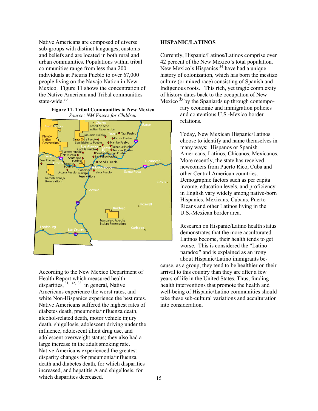Native Americans are composed of diverse sub-groups with distinct languages, customs and beliefs and are located in both rural and urban communities. Populations within tribal communities range from less than 200 individuals at Picuris Pueblo to over 67,000 people living on the Navajo Nation in New Mexico. Figure 11 shows the concentration of the Native American and Tribal communities state-wide $30$ 

#### Figure 11. Tribal Communities in New Mexico Source: NM Voices for Children



According to the New Mexico Department of Health Report which measured health disparities,  $31, 32, 33$  in general, Native Americans experience the worst rates, and white Non-Hispanics experience the best rates. Native Americans suffered the highest rates of diabetes death, pneumonia/influenza death, alcohol-related death, motor vehicle injury death, shigellosis, adolescent driving under the influence, adolescent illicit drug use, and adolescent overweight status; they also had a large increase in the adult smoking rate. Native Americans experienced the greatest disparity changes for pneumonia/influenza death and diabetes death, for which disparities increased, and hepatitis A and shigellosis, for which disparities decreased.

#### HISPANIC/LATINOS

Currently, Hispanic/Latinos/Latinos comprise over 42 percent of the New Mexico's total population. New Mexico's Hispanics<sup>34</sup> have had a unique history of colonization, which has born the mestizo culture (or mixed race) consisting of Spanish and Indigenous roots. This rich, yet tragic complexity of history dates back to the occupation of New Mexico  $35$  by the Spaniards up through contempo-

> rary economic and immigration policies and contentious U.S.-Mexico border relations.

Today, New Mexican Hispanic/Latinos choose to identify and name themselves in many ways: Hispanos or Spanish Americans, Latinos, Chicanos, Mexicanos. More recently, the state has received newcomers from Puerto Rico, Cuba and other Central American countries. Demographic factors such as per capita income, education levels, and proficiency in English vary widely among native-born Hispanics, Mexicans, Cubans, Puerto Ricans and other Latinos living in the U.S.-Mexican border area.

Research on Hispanic/Latino health status demonstrates that the more acculturated Latinos become, their health tends to get worse. This is considered the "Latino paradox" and is explained as an irony about Hispanic/Latino immigrants be-

cause, as a group, they tend to be healthier on their arrival to this country than they are after a few years of life in the United States. Thus, funding health interventions that promote the health and well-being of Hispanic/Latino communities should take these sub-cultural variations and acculturation into consideration.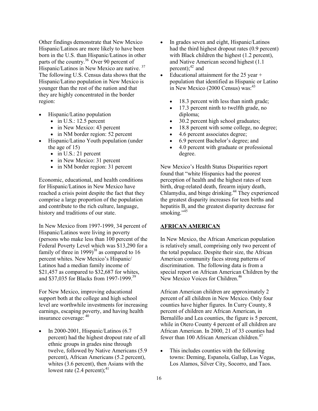Other findings demonstrate that New Mexico Hispanic/Latinos are more likely to have been born in the U.S. than Hispanic/Latinos in other parts of the country.<sup>36</sup> Over 90 percent of Hispanic/Latinos in New Mexico are native.<sup>37</sup> The following U.S. Census data shows that the Hispanic/Latino population in New Mexico is younger than the rest of the nation and that they are highly concentrated in the border region:

- Hispanic/Latino population
	- $\bullet$  in U.S.: 12.5 percent
	- in New Mexico: 43 percent
	- in NM border region: 52 percent
- Hispanic/Latino Youth population (under the age of 15)
	- $\bullet$  in U.S.: 21 percent
	- in New Mexico: 31 percent
	- in NM border region: 31 percent

Economic, educational, and health conditions for Hispanic/Latinos in New Mexico have reached a crisis point despite the fact that they comprise a large proportion of the population and contribute to the rich culture, language, history and traditions of our state.

In New Mexico from 1997-1999, 34 percent of Hispanic/Latinos were living in poverty (persons who make less than 100 percent of the Federal Poverty Level which was \$13,290 for a family of three in 1999)<sup>38</sup> as compared to 16 percent whites. New Mexico's Hispanic/ Latinos had a median family income of \$21,457 as compared to \$32,687 for whites, and \$37,035 for Blacks from 1997-1999.<sup>39</sup>

For New Mexico, improving educational support both at the college and high school level are worthwhile investments for increasing earnings, escaping poverty, and having health insurance coverage:<sup>40</sup>

• In 2000-2001, Hispanic/Latinos  $(6.7)$ percent) had the highest dropout rate of all ethnic groups in grades nine through twelve, followed by Native Americans (5.9 percent), African Americans (5.2 percent), whites (3.6 percent), then Asians with the lowest rate  $(2.4 \text{ percent})$ ;<sup>41</sup>

- In grades seven and eight, Hispanic/Latinos had the third highest dropout rates (0.9 percent) with Black children the highest (1.2 percent), and Native American second highest (1.1 percent); $42$  and
- Educational attainment for the 25 year + population that identified as Hispanic or Latino in New Mexico (2000 Census) was: $43$ 
	- 18.3 percent with less than ninth grade;
	- 17.3 percent ninth to twelfth grade, no diploma;
	- 30.2 percent high school graduates;
	- 18.8 percent with some college, no degree;
	- 4.6 percent associates degree;
	- 6.9 percent Bachelor's degree; and
	- 4.0 percent with graduate or professional degree.

New Mexico's Health Status Disparities report found that "white Hispanics had the poorest perception of health and the highest rates of teen birth, drug-related death, firearm injury death, Chlamydia, and binge drinking.<sup>44</sup> They experienced the greatest disparity increases for teen births and hepatitis B, and the greatest disparity decrease for smoking." $45$ 

#### AFRICAN AMERICAN

In New Mexico, the African American population is relatively small, comprising only two percent of the total populace. Despite their size, the African American community faces strong patterns of discrimination. The following data is from a special report on African American Children by the New Mexico Voices for Children.<sup>46</sup>

African American children are approximately 2 percent of all children in New Mexico. Only four counties have higher figures. In Curry County, 8 percent of children are African American, in Bernalillo and Lea counties, the figure is 5 percent, while in Otero County 4 percent of all children are African American. In 2000, 21 of 33 counties had fewer than 100 African American children.<sup>47</sup>

• This includes counties with the following towns: Deming, Espanola, Gallup, Las Vegas, Los Alamos, Silver City, Socorro, and Taos.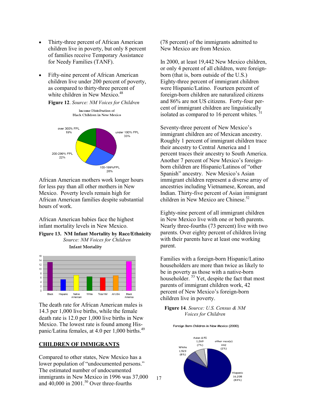- Thirty-three percent of African American children live in poverty, but only 8 percent of families receive Temporary Assistance for Needy Families (TANF).
- Fifty-nine percent of African American children live under 200 percent of poverty, as compared to thirty-three percent of white children in New Mexico.<sup>48</sup>

Figure 12. Source: NM Voices for Children



African American mothers work longer hours for less pay than all other mothers in New Mexico. Poverty levels remain high for African American families despite substantial hours of work.

African American babies face the highest infant mortality levels in New Mexico.

Figure 13. NM Infant Mortality by Race/Ethnicity Source: NM Voices for Children **Infant Mortality** 



The death rate for African American males is 14.3 per 1,000 live births, while the female death rate is 12.0 per 1,000 live births in New Mexico. The lowest rate is found among Hispanic/Latina females, at 4.0 per 1,000 births.<sup>49</sup>

#### CHILDREN OF IMMIGRANTS

Compared to other states, New Mexico has a lower population of "undocumented persons." The estimated number of undocumented immigrants in New Mexico in 1996 was 37,000 and  $40,000$  in  $2001$ .<sup>50</sup> Over three-fourths

(78 percent) of the immigrants admitted to New Mexico are from Mexico.

In 2000, at least 19,442 New Mexico children, or only 4 percent of all children, were foreignborn (that is, born outside of the U.S.) Eighty-three percent of immigrant children were Hispanic/Latino. Fourteen percent of foreign-born children are naturalized citizens and 86% are not US citizens. Forty-four percent of immigrant children are linguistically isolated as compared to 16 percent whites. $\frac{3}{5}$ 

Seventy-three percent of New Mexico's immigrant children are of Mexican ancestry. Roughly 1 percent of immigrant children trace their ancestry to Central America and 1 percent traces their ancestry to South America. Another 7 percent of New Mexico's foreignborn children are Hispanic/Latinos of "other Spanish" ancestry. New Mexico's Asian immigrant children represent a diverse array of ancestries including Vietnamese, Korean, and Indian. Thirty-five percent of Asian immigrant children in New Mexico are Chinese.<sup>52</sup>

Eighty-nine percent of all immigrant children in New Mexico live with one or both parents. Nearly three-fourths (73 percent) live with two parents. Over eighty percent of children living with their parents have at least one working parent.

Families with a foreign-born Hispanic/Latino householders are more than twice as likely to be in poverty as those with a native-born householder.  $53$  Yet, despite the fact that most parents of immigrant children work, 42 percent of New Mexico's foreign-born children live in poverty.

#### Figure 14. Source: U.S. Census & NM Voices for Children

Foreign Born Children in New Mexico (2000)



17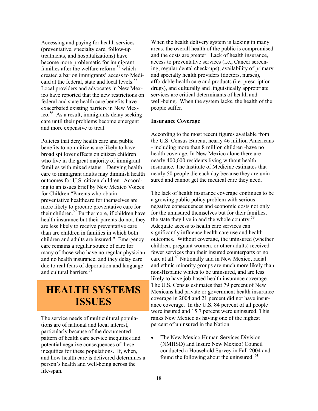Accessing and paying for health services (preventative, specialty care, follow-up treatments, and hospitalizations) have become more problematic for immigrant families after the welfare reform <sup>54</sup> which created a bar on immigrants' access to Medicaid at the federal, state and local levels.<sup>55</sup> Local providers and advocates in New Mexico have reported that the new restrictions on federal and state health care benefits have exacerbated existing barriers in New Mexico.<sup>56</sup> As a result, immigrants delay seeking care until their problems become emergent and more expensive to treat.

Policies that deny health care and public benefits to non-citizens are likely to have broad spillover effects on citizen children who live in the great majority of immigrant families with mixed status. Denying health care to immigrant adults may diminish health outcomes for U.S. citizen children. According to an issues brief by New Mexico Voices for Children "Parents who obtain preventative healthcare for themselves are more likely to procure preventative care for their children.<sup>57</sup> Furthermore, if children have health insurance but their parents do not, they are less likely to receive preventative care than are children in families in which both children and adults are insured." Emergency care remains a regular source of care for many of those who have no regular physician and no health insurance, and they delay care due to real fears of deportation and language and cultural barriers.<sup>58</sup>

# HEALTH SYSTEMS ISSUES

The service needs of multicultural populations are of national and local interest, particularly because of the documented pattern of health care service inequities and potential negative consequences of these inequities for these populations. If, when, and how health care is delivered determines a person's health and well-being across the life-span.

When the health delivery system is lacking in many areas, the overall health of the public is compromised and the costs are greater. Lack of health insurance, access to preventative services (i.e., Cancer screening, regular dental check-ups), availability of primary and specialty health providers (doctors, nurses), affordable health care and products (i.e. prescription drugs), and culturally and linguistically appropriate services are critical determinants of health and well-being. When the system lacks, the health of the people suffer.

#### Insurance Coverage

According to the most recent figures available from the U.S. Census Bureau, nearly 46 million Americans - including more than 8 million children -have no health coverage. In New Mexico alone there are nearly 400,000 residents living without health insurance. The Institute of Medicine estimates that nearly 50 people die each day because they are uninsured and cannot get the medical care they need.

The lack of health insurance coverage continues to be a growing public policy problem with serious negative consequences and economic costs not only for the uninsured themselves but for their families, the state they live in and the whole country.<sup>59</sup> Adequate access to health care services can significantly influence health care use and health outcomes. Without coverage, the uninsured (whether children, pregnant women, or other adults) received fewer services than their insured counterparts or no care at all.<sup>60</sup> Nationally and in New Mexico, racial and ethnic minority groups are much more likely than non-Hispanic whites to be uninsured, and are less likely to have job-based health insurance coverage. The U.S. Census estimates that 79 percent of New Mexicans had private or government health insurance coverage in 2004 and 21 percent did not have insurance coverage. In the U.S. 84 percent of all people were insured and 15.7 percent were uninsured. This ranks New Mexico as having one of the highest percent of uninsured in the Nation.

• The New Mexico Human Services Division (NMHSD) and Insure New Mexico! Council conducted a Household Survey in Fall 2004 and found the following about the uninsured: <sup>61</sup>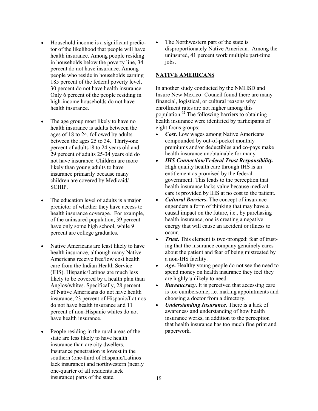- Household income is a significant predictor of the likelihood that people will have health insurance. Among people residing in households below the poverty line, 34 percent do not have insurance. Among people who reside in households earning 185 percent of the federal poverty level, 30 percent do not have health insurance. Only 6 percent of the people residing in high-income households do not have health insurance.
- The age group most likely to have no health insurance is adults between the ages of 18 to 24, followed by adults between the ages 25 to 34. Thirty-one percent of adults18 to 24 years old and 29 percent of adults 25-34 years old do not have insurance. Children are more likely than young adults to have insurance primarily because many children are covered by Medicaid/ **SCHIP**
- The education level of adults is a major predictor of whether they have access to health insurance coverage. For example, of the uninsured population, 39 percent have only some high school, while 9 percent are college graduates.
- Native Americans are least likely to have health insurance, although many Native Americans receive free/low cost health care from the Indian Health Service (IHS). Hispanic/Latinos are much less likely to be covered by a health plan than Anglos/whites. Specifically, 28 percent of Native Americans do not have health insurance, 23 percent of Hispanic/Latinos do not have health insurance and 11 percent of non-Hispanic whites do not have health insurance.
- People residing in the rural areas of the state are less likely to have health insurance than are city dwellers. Insurance penetration is lowest in the southern (one-third of Hispanic/Latinos lack insurance) and northwestern (nearly one-quarter of all residents lack insurance) parts of the state.

The Northwestern part of the state is disproportionately Native American. Among the uninsured, 41 percent work multiple part-time jobs.

#### NATIVE AMERICANS

In another study conducted by the NMHSD and Insure New Mexico! Council found there are many financial, logistical, or cultural reasons why enrollment rates are not higher among this population.<sup>62</sup> The following barriers to obtaining health insurance were identified by participants of eight focus groups:

- *Cost*. Low wages among Native Americans compounded by out-of-pocket monthly premiums and/or deductibles and co-pays make health insurance unobtainable for many.
- IHS Connection/Federal Trust Responsibility. High quality health care through IHS is an entitlement as promised by the federal government. This leads to the perception that health insurance lacks value because medical care is provided by IHS at no cost to the patient.
- *Cultural Barriers*. The concept of insurance engenders a form of thinking that may have a causal impact on the future, i.e., by purchasing health insurance, one is creating a negative energy that will cause an accident or illness to occur.
- Trust. This element is two-pronged: fear of trusting that the insurance company genuinely cares about the patient and fear of being mistreated by a non-IHS facility.
- *Age*. Healthy young people do not see the need to spend money on health insurance they feel they are highly unlikely to need.
- *Bureaucracy*. It is perceived that accessing care is too cumbersome, i.e. making appointments and choosing a doctor from a directory.
- Understanding Insurance. There is a lack of awareness and understanding of how health insurance works, in addition to the perception that health insurance has too much fine print and paperwork.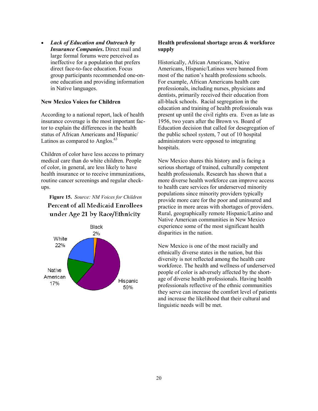• Lack of Education and Outreach by Insurance Companies. Direct mail and large formal forums were perceived as ineffective for a population that prefers direct face-to-face education. Focus group participants recommended one-onone education and providing information in Native languages.

#### New Mexico Voices for Children

According to a national report, lack of health insurance coverage is the most important factor to explain the differences in the health status of African Americans and Hispanic/ Latinos as compared to Anglos. $^{63}$ 

Children of color have less access to primary medical care than do white children. People of color, in general, are less likely to have health insurance or to receive immunizations, routine cancer screenings and regular checkups.

Figure 15. Source: NM Voices for Children**Percent of all Medicaid Enrollees** under Age 21 by Race/Ethnicity



#### Health professional shortage areas & workforce supply

Historically, African Americans, Native Americans, Hispanic/Latinos were banned from most of the nation's health professions schools. For example, African Americans health care professionals, including nurses, physicians and dentists, primarily received their education from all-black schools. Racial segregation in the education and training of health professionals was present up until the civil rights era. Even as late as 1956, two years after the Brown vs. Board of Education decision that called for desegregation of the public school system, 7 out of 10 hospital administrators were opposed to integrating hospitals.

New Mexico shares this history and is facing a serious shortage of trained, culturally competent health professionals. Research has shown that a more diverse health workforce can improve access to health care services for underserved minority populations since minority providers typically provide more care for the poor and uninsured and practice in more areas with shortages of providers. Rural, geographically remote Hispanic/Latino and Native American communities in New Mexico experience some of the most significant health disparities in the nation.

New Mexico is one of the most racially and ethnically diverse states in the nation, but this diversity is not reflected among the health care workforce. The health and wellness of underserved people of color is adversely affected by the shortage of diverse health professionals. Having health professionals reflective of the ethnic communities they serve can increase the comfort level of patients and increase the likelihood that their cultural and linguistic needs will be met.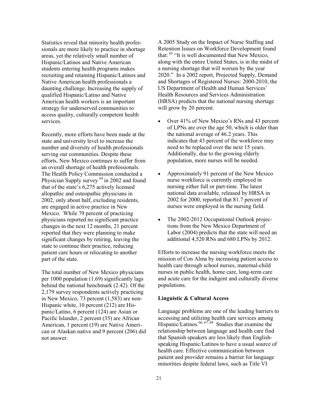Statistics reveal that minority health professionals are more likely to practice in shortage areas, yet the relatively small number of Hispanic/Latinos and Native American students entering health programs makes recruiting and retaining Hispanic/Latinos and Native American health professionals a daunting challenge. Increasing the supply of qualified Hispanic/Latino and Native American health workers is an important strategy for underserved communities to access quality, culturally competent health services.

Recently, more efforts have been made at the state and university level to increase the number and diversity of health professionals serving our communities. Despite these efforts, New Mexico continues to suffer from an overall shortage of health professionals. The Health Policy Commission conducted a Physician Supply survey  $64$  in 2002 and found that of the state's 6,275 actively licensed allopathic and osteopathic physicians in 2002, only about half, excluding residents, are engaged in active practice in New Mexico. While 79 percent of practicing physicians reported no significant practice changes in the next 12 months, 21 percent reported that they were planning to make significant changes by retiring, leaving the state to continue their practice, reducing patient care hours or relocating to another part of the state.

The total number of New Mexico physicians per 1000 population (1.69) significantly lags behind the national benchmark (2.42). Of the 2,179 survey respondents actively practicing in New Mexico, 73 percent (1,583) are non-Hispanic white, 10 percent (212) are Hispanic/Latino, 6 percent (124) are Asian or Pacific Islander, 2 percent (35) are African American, 1 percent (19) are Native American or Alaskan native and 9 percent (206) did not answer.

A 2005 Study on the Impact of Nurse Staffing and Retention Issues on Workforce Development found that:  $65$  "It is well documented that New Mexico, along with the entire United States, is in the midst of a nursing shortage that will worsen by the year 2020." In a 2002 report, Projected Supply, Demand and Shortages of Registered Nurses: 2000-2010, the US Department of Health and Human Services' Health Resources and Services Administration (HRSA) predicts that the national nursing shortage will grow by 20 percent.

- Over 41% of New Mexico's RNs and 43 percent of LPNs are over the age 50, which is older than the national average of 46.2 years. This indicates that 43 percent of the workforce may need to be replaced over the next 15 years. Additionally, due to the growing elderly population, more nurses will be needed.
- Approximately 91 percent of the New Mexico nurse workforce is currently employed in nursing either full or part-time. The latest national data available, released by HRSA in 2002 for 2000, reported that 81.7 percent of nurses were employed in the nursing field.
- The 2002-2012 Occupational Outlook projections from the New Mexico Department of Labor (2004) predicts that the state will need an additional 4,520 RNs and 680 LPNs by 2012.

Efforts to increase the nursing workforce meets the mission of Con Alma by increasing patient access to health care through school nurses, maternal-child nurses in public health, home care, long-term care and acute care for the indigent and culturally diverse populations.

#### Linguistic & Cultural Access

Language problems are one of the leading barriers to accessing and utilizing health care services among Hispanic/Latinos.<sup>66, 67, 68</sup> Studies that examine the relationship between language and health care find that Spanish speakers are less likely than Englishspeaking Hispanic/Latinos to have a usual source of health care. Effective communication between patient and provider remains a barrier for language minorities despite federal laws, such as Title VI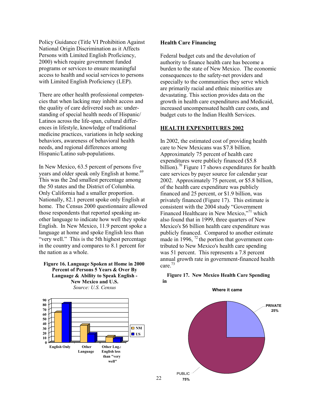Policy Guidance (Title VI Prohibition Against National Origin Discrimination as it Affects Persons with Limited English Proficiency, 2000) which require government funded programs or services to ensure meaningful access to health and social services to persons with Limited English Proficiency (LEP).

There are other health professional competencies that when lacking may inhibit access and the quality of care delivered such as: understanding of special health needs of Hispanic/ Latinos across the life-span, cultural differences in lifestyle, knowledge of traditional medicine practices, variations in help seeking behaviors, awareness of behavioral health needs, and regional differences among Hispanic/Latino sub-populations.

In New Mexico, 63.5 percent of persons five years and older speak only English at home.<sup>69</sup> This was the 2nd smallest percentage among the 50 states and the District of Columbia. Only California had a smaller proportion. Nationally, 82.1 percent spoke only English at home. The Census 2000 questionnaire allowed those respondents that reported speaking another language to indicate how well they spoke English. In New Mexico, 11.9 percent spoke a language at home and spoke English less than "very well." This is the 5th highest percentage in the country and compares to 8.1 percent for the nation as a whole.

#### Figure 16. Language Spoken at Home in 2000 Percent of Persons 5 Years & Over By Language & Ability to Speak English - New Mexico and U.S. Source: U.S. Census



22

#### Health Care Financing

Federal budget cuts and the devolution of authority to finance health care has become a burden to the state of New Mexico. The economic consequences to the safety-net providers and especially to the communities they serve which are primarily racial and ethnic minorities are devastating. This section provides data on the growth in health care expenditures and Medicaid, increased uncompensated health care costs, and budget cuts to the Indian Health Services.

#### HEALTH EXPENDITURES 2002

In 2002, the estimated cost of providing health care to New Mexicans was \$7.8 billion. Approximately 75 percent of health care expenditures were publicly financed (\$5.8 billion).<sup>70</sup> Figure 17 shows expenditures for health care services by payer source for calendar year 2002. Approximately 75 percent, or \$5.8 billion, of the health care expenditure was publicly financed and 25 percent, or \$1.9 billion, was privately financed (Figure 17). This estimate is consistent with the 2004 study "Government Financed Healthcare in New Mexico,"<sup>71</sup> which also found that in 1999, three quarters of New Mexico's \$6 billion health care expenditure was publicly financed. Compared to another estimate made in 1996,  $^{72}$  the portion that government contributed to New Mexico's health care spending was 51 percent. This represents a 7.8 percent annual growth rate in government-financed health care. $^{73}$ 

#### Figure 17. New Mexico Health Care Spending in



Where it came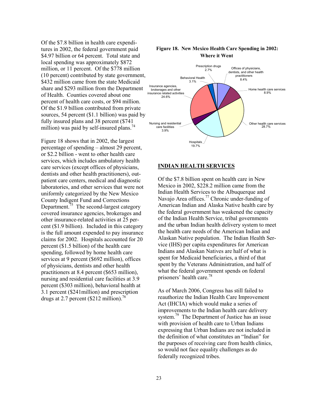Of the \$7.8 billion in health care expenditures in 2002, the federal government paid \$4.97 billion or 64 percent. Total state and local spending was approximately \$872 million, or 11 percent. Of the \$778 million (10 percent) contributed by state government, \$432 million came from the state Medicaid share and \$293 million from the Department of Health. Counties covered about one percent of health care costs, or \$94 million. Of the \$1.9 billion contributed from private sources, 54 percent (\$1.1 billion) was paid by fully insured plans and 38 percent (\$741 million) was paid by self-insured plans.<sup>74</sup>

Figure 18 shows that in 2002, the largest percentage of spending – almost 29 percent, or \$2.2 billion - went to other health care services, which includes ambulatory health care services (except offices of physicians, dentists and other health practitioners), outpatient care centers, medical and diagnostic laboratories, and other services that were not uniformly categorized by the New Mexico County Indigent Fund and Corrections Department.<sup> $75$ </sup> The second-largest category covered insurance agencies, brokerages and other insurance-related activities at 25 percent (\$1.9 billion). Included in this category is the full amount expended to pay insurance claims for 2002. Hospitals accounted for 20 percent (\$1.5 billion) of the health care spending, followed by home health care services at 9 percent (\$692 million), offices of physicians, dentists and other health practitioners at 8.4 percent (\$653 million), nursing and residential care facilities at 3.9 percent (\$303 million), behavioral health at 3.1 percent (\$241million) and prescription drugs at 2.7 percent  $(\$212 \text{ million})$ .<sup>76</sup>

#### Figure 18. New Mexico Health Care Spending in 2002: Where it Went



#### INDIAN HEALTH SERVICES

Of the \$7.8 billion spent on health care in New Mexico in 2002, \$228.2 million came from the Indian Health Services to the Albuquerque and Navajo Area offices.<sup>77</sup> Chronic under-funding of American Indian and Alaska Native health care by the federal government has weakened the capacity of the Indian Health Service, tribal governments and the urban Indian health delivery system to meet the health care needs of the American Indian and Alaskan Native population. The Indian Health Service (IHS) per capita expenditures for American Indians and Alaskan Natives are half of what is spent for Medicaid beneficiaries, a third of that spent by the Veterans Administration, and half of what the federal government spends on federal prisoners' health care.<sup>78</sup>

As of March 2006, Congress has still failed to reauthorize the Indian Health Care Improvement Act (IHCIA) which would make a series of improvements to the Indian health care delivery system.<sup>79</sup> The Department of Justice has an issue with provision of health care to Urban Indians expressing that Urban Indians are not included in the definition of what constitutes an "Indian" for the purposes of receiving care from health clinics, so would not face equality challenges as do federally recognized tribes.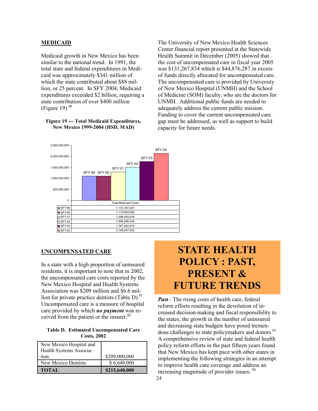#### MEDICAID

Medicaid growth in New Mexico has been similar to the national trend. In 1991, the total state and federal expenditures in Medicaid was approximately \$341 million of which the state contributed about \$88 million, or 25 percent. In SFY 2004, Medicaid expenditures exceeded \$2 billion, requiring a state contribution of over \$400 million (Figure 19). $80$ 

#### Figure 19 --- Total Medicaid Expenditures, New Mexico 1999-2004 (HSD, MAD)

The University of New Mexico Health Sciences Center financial report presented at the Statewide Health Summit in December (2005) showed that the cost of uncompensated care in fiscal year 2005 was \$131,267,834 which is \$44,876,287 in excess of funds directly allocated for uncompensated care. The uncompensated care is provided by University of New Mexico Hospital (UNMH) and the School of Medicine (SOM) faculty, who are the doctors for UNMH. Additional public funds are needed to adequately address the current public mission. Funding to cover the current uncompensated care gap must be addressed, as well as support to build capacity for future needs.



#### UNCOMPENSATED CARE

In a state with a high proportion of uninsured residents, it is important to note that in 2002, the uncompensated care costs reported by the New Mexico Hospital and Health Systems Association was \$209 million and \$6.6 million for private practice dentists (Table D). $81$ Uncompensated care is a measure of hospital care provided by which *no payment* was received from the patient or the insurer.<sup>82</sup>

#### Table D. Estimated Uncompensated Care Costs, 2002

| New Mexico Hospital and<br>Health Systems Associa- |               |
|----------------------------------------------------|---------------|
| tion                                               | \$209,000,000 |
| New Mexico Dentists                                | \$6,640,000   |
| <b>TOTAL</b>                                       | \$215,640,000 |

# STATE HEALTH POLICY : PAST, PRESENT & FUTURE TRENDS

*Past* - The rising costs of health care, federal reform efforts resulting in the devolution of increased decision-making and fiscal responsibility to the states, the growth in the number of uninsured and decreasing state budgets have posed tremendous challenges to state policymakers and donors.<sup>83</sup> A comprehensive review of state and federal health policy reform efforts in the past fifteen years found that New Mexico has kept pace with other states in implementing the following strategies in an attempt to improve health care coverage and address an increasing magnitude of provider issues: <sup>84</sup>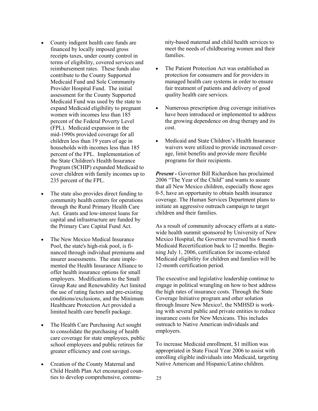- County indigent health care funds are financed by locally imposed gross receipts taxes, under county control in terms of eligibility, covered services and reimbursement rates. These funds also contribute to the County Supported Medicaid Fund and Sole Community Provider Hospital Fund. The initial assessment for the County Supported Medicaid Fund was used by the state to expand Medicaid eligibility to pregnant women with incomes less than 185 percent of the Federal Poverty Level (FPL). Medicaid expansion in the mid-1990s provided coverage for all children less than 19 years of age in households with incomes less than 185 percent of the FPL. Implementation of the State Children's Health Insurance Program (SCHIP) expanded Medicaid to cover children with family incomes up to 235 percent of the FPL.
- The state also provides direct funding to community health centers for operations through the Rural Primary Health Care Act. Grants and low-interest loans for capital and infrastructure are funded by the Primary Care Capital Fund Act.
- The New Mexico Medical Insurance Pool, the state's high-risk pool, is financed through individual premiums and insurer assessments. The state implemented the Health Insurance Alliance to offer health insurance options for small employers. Modifications to the Small Group Rate and Renewability Act limited the use of rating factors and pre-existing conditions/exclusions, and the Minimum Healthcare Protection Act provided a limited health care benefit package.
- The Health Care Purchasing Act sought to consolidate the purchasing of health care coverage for state employees, public school employees and public retirees for greater efficiency and cost savings.
- Creation of the County Maternal and Child Health Plan Act encouraged counties to develop comprehensive, commu-

nity-based maternal and child health services to meet the needs of childbearing women and their families.

- The Patient Protection Act was established as protection for consumers and for providers in managed health care systems in order to ensure fair treatment of patients and delivery of good quality health care services.
- Numerous prescription drug coverage initiatives have been introduced or implemented to address the growing dependence on drug therapy and its cost.
- Medicaid and State Children's Health Insurance waivers were utilized to provide increased coverage, limit benefits and provide more flexible programs for their recipients.

**Present -** Governor Bill Richardson has proclaimed 2006 "The Year of the Child" and wants to assure that all New Mexico children, especially those ages 0-5, have an opportunity to obtain health insurance coverage. The Human Services Department plans to initiate an aggressive outreach campaign to target children and their families.

As a result of community advocacy efforts at a statewide health summit sponsored by University of New Mexico Hospital, the Governor reversed his 6 month Medicaid Recertification back to 12 months. Beginning July 1, 2006, certification for income-related Medicaid eligibility for children and families will be 12-month certification period.

The executive and legislative leadership continue to engage in political wrangling on how to best address the high rates of insurance costs. Through the State Coverage Initiative program and other solution through Insure New Mexico!, the NMHSD is working with several public and private entities to reduce insurance costs for New Mexicans. This includes outreach to Native American individuals and employers.

To increase Medicaid enrollment, \$1 million was appropriated in State Fiscal Year 2006 to assist with enrolling eligible individuals into Medicaid, targeting Native American and Hispanic/Latino children.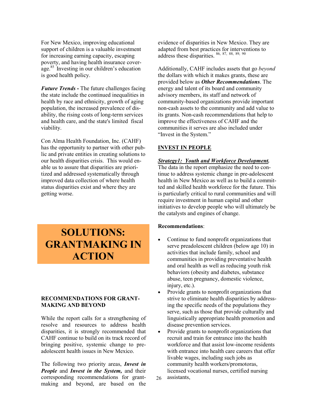For New Mexico, improving educational support of children is a valuable investment for increasing earning capacity, escaping poverty, and having health insurance coverage.<sup>85</sup> Investing in our children's education is good health policy.

**Future Trends - The future challenges facing** the state include the continued inequalities in health by race and ethnicity, growth of aging population, the increased prevalence of disability, the rising costs of long-term services and health care, and the state's limited fiscal viability.

Con Alma Health Foundation, Inc. (CAHF) has the opportunity to partner with other public and private entities in creating solutions to our health disparities crisis. This would enable us to assure that disparities are prioritized and addressed systematically through improved data collection of where health status disparities exist and where they are getting worse.

# SOLUTIONS: GRANTMAKING IN **ACTION**

#### RECOMMENDATIONS FOR GRANT-MAKING AND BEYOND

While the report calls for a strengthening of resolve and resources to address health disparities, it is strongly recommended that CAHF continue to build on its track record of bringing positive, systemic change to preadolescent health issues in New Mexico.

The following two priority areas, *Invest in* **People and Invest in the System, and their** corresponding recommendations for grantmaking and beyond, are based on the evidence of disparities in New Mexico. They are adapted from best practices for interventions to address these disparities.  $86, 87, 88, 89, 90$ 

Additionally, CAHF includes assets that go beyond the dollars with which it makes grants, these are provided below as *Other Recommendations*. The energy and talent of its board and community advisory members, its staff and network of community-based organizations provide important non-cash assets to the community and add value to its grants. Non-cash recommendations that help to improve the effectiveness of CAHF and the communities it serves are also included under "Invest in the System."

#### INVEST IN PEOPLE

#### Strategy1: Youth and Workforce Development.

The data in the report emphasize the need to continue to address systemic change in pre-adolescent health in New Mexico as well as to build a committed and skilled health workforce for the future. This is particularly critical to rural communities and will require investment in human capital and other initiatives to develop people who will ultimately be the catalysts and engines of change.

#### Recommendations:

- Continue to fund nonprofit organizations that serve preadolescent children (below age 10) in activities that include family, school and communities in providing preventative health and oral health as well as reducing youth risk behaviors (obesity and diabetes, substance abuse, teen pregnancy, domestic violence, injury, etc.).
- Provide grants to nonprofit organizations that strive to eliminate health disparities by addressing the specific needs of the populations they serve, such as those that provide culturally and linguistically appropriate health promotion and disease prevention services.
- Provide grants to nonprofit organizations that recruit and train for entrance into the health workforce and that assist low-income residents with entrance into health care careers that offer livable wages, including such jobs as community health workers/promotoras, licensed vocational nurses, certified nursing assistants,
- 26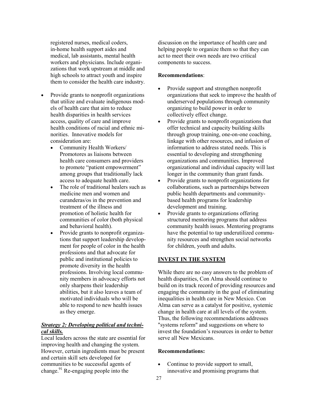registered nurses, medical coders, in-home health support aides and medical, lab assistants, mental health workers and physicians. Include organizations that work upstream at middle and high schools to attract youth and inspire them to consider the health care industry.

- Provide grants to nonprofit organizations that utilize and evaluate indigenous models of health care that aim to reduce health disparities in health services access, quality of care and improve health conditions of racial and ethnic minorities. Innovative models for consideration are:
	- Community Health Workers/ Promotores as liaisons between health care consumers and providers to promote "patient empowerment" among groups that traditionally lack access to adequate health care.
	- The role of traditional healers such as medicine men and women and curanderas/os in the prevention and treatment of the illness and promotion of holistic health for communities of color (both physical and behavioral health).
	- Provide grants to nonprofit organizations that support leadership development for people of color in the health professions and that advocate for public and institutional policies to promote diversity in the health professions. Involving local community members in advocacy efforts not only sharpens their leadership abilities, but it also leaves a team of motivated individuals who will be able to respond to new health issues as they emerge.

#### **Strategy 2: Developing political and techni**cal skills.

Local leaders across the state are essential for improving health and changing the system. However, certain ingredients must be present and certain skill sets developed for communities to be successful agents of change. $91$  Re-engaging people into the

discussion on the importance of health care and helping people to organize them so that they can act to meet their own needs are two critical components to success.

#### Recommendations:

- Provide support and strengthen nonprofit organizations that seek to improve the health of underserved populations through community organizing to build power in order to collectively effect change.
- Provide grants to nonprofit organizations that offer technical and capacity building skills through group training, one-on-one coaching, linkage with other resources, and infusion of information to address stated needs. This is essential to developing and strengthening organizations and communities. Improved organizational and individual capacity will last longer in the community than grant funds.
- Provide grants to nonprofit organizations for collaborations, such as partnerships between public health departments and communitybased health programs for leadership development and training.
- Provide grants to organizations offering structured mentoring programs that address community health issues. Mentoring programs have the potential to tap underutilized community resources and strengthen social networks for children, youth and adults.

#### INVEST IN THE SYSTEM

While there are no easy answers to the problem of health disparities, Con Alma should continue to build on its track record of providing resources and engaging the community in the goal of eliminating inequalities in health care in New Mexico. Con Alma can serve as a catalyst for positive, systemic change in health care at all levels of the system. Thus, the following recommendations addresses "systems reform" and suggestions on where to invest the foundation's resources in order to better serve all New Mexicans.

#### Recommendations:

• Continue to provide support to small, innovative and promising programs that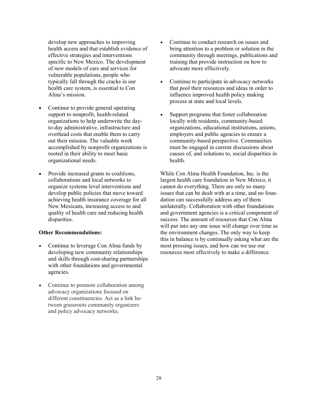develop new approaches to improving health access and that establish evidence of effective strategies and interventions specific to New Mexico. The development of new models of care and services for vulnerable populations, people who typically fall through the cracks in our health care system, is essential to Con Alma's mission.

- Continue to provide general operating support to nonprofit, health-related organizations to help underwrite the dayto-day administrative, infrastructure and overhead costs that enable them to carry out their mission. The valuable work accomplished by nonprofit organizations is rooted in their ability to meet basic organizational needs.
- Provide increased grants to coalitions, collaborations and local networks to organize systems level interventions and develop public policies that move toward achieving health insurance coverage for all New Mexicans, increasing access to and quality of health care and reducing health disparities.

#### Other Recommendations:

- Continue to leverage Con Alma funds by developing new community relationships and skills through cost-sharing partnerships with other foundations and governmental agencies.
- Continue to promote collaboration among advocacy organizations focused on different constituencies. Act as a link between grassroots community organizers and policy advocacy networks.
- Continue to conduct research on issues and bring attention to a problem or solution in the community through meetings, publications and training that provide instruction on how to advocate more effectively.
- Continue to participate in advocacy networks that pool their resources and ideas in order to influence improved health policy making process at state and local levels.
- Support programs that foster collaboration locally with residents, community-based organizations, educational institutions, unions, employers and public agencies to ensure a community-based perspective. Communities must be engaged in current discussions about causes of, and solutions to, social disparities in health.

While Con Alma Health Foundation, Inc. is the largest health care foundation in New Mexico, it cannot do everything. There are only so many issues that can be dealt with at a time, and no foundation can successfully address any of them unilaterally. Collaboration with other foundations and government agencies is a critical component of success. The amount of resources that Con Alma will put into any one issue will change over time as the environment changes. The only way to keep this in balance is by continually asking what are the most pressing issues, and how can we use our resources most effectively to make a difference.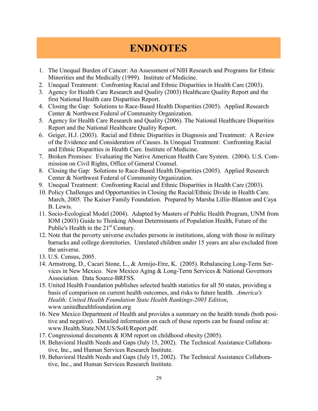# ENDNOTES

- 1. The Unequal Burden of Cancer: An Assessment of NIH Research and Programs for Ethnic Minorities and the Medically (1999). Institute of Medicine.
- 2. Unequal Treatment: Confronting Racial and Ethnic Disparities in Health Care (2003).
- 3. Agency for Health Care Research and Quality (2003) Healthcare Quality Report and the first National Health care Disparities Report.
- 4. Closing the Gap: Solutions to Race-Based Health Disparities (2005). Applied Research Center & Northwest Federal of Community Organization.
- 5. Agency for Health Care Research and Quality (2006). The National Healthcare Disparities Report and the National Healthcare Quality Report.
- 6. Geiger, H.J. (2003). Racial and Ethnic Disparities in Diagnosis and Treatment: A Review of the Evidence and Consideration of Causes. In Unequal Treatment: Confronting Racial and Ethnic Disparities in Health Care. Institute of Medicine.
- 7. Broken Promises: Evaluating the Native American Health Care System. (2004). U.S. Commission on Civil Rights, Office of General Counsel.
- 8. Closing the Gap: Solutions to Race-Based Health Disparities (2005). Applied Research Center & Northwest Federal of Community Organization.
- 9. Unequal Treatment: Confronting Racial and Ethnic Disparities in Health Care (2003).
- 10. Policy Challenges and Opportunities in Closing the Racial/Ethnic Divide in Health Care. March, 2005. The Kaiser Family Foundation. Prepared by Marsha Lillie-Blanton and Caya B. Lewis.
- 11. Socio-Ecological Model (2004). Adapted by Masters of Public Health Program, UNM from IOM (2003) Guide to Thinking About Determinants of Population Health, Future of the Public's Health in the 21<sup>st</sup> Century.
- 12. Note that the poverty universe excludes persons in institutions, along with those in military barracks and college dormitories. Unrelated children under 15 years are also excluded from the universe.
- 13. U.S. Census, 2005.
- 14. Armstrong, D., Cacari Stone, L., & Armijo-Etre, K. (2005). Rebalancing Long-Term Services in New Mexico. New Mexico Aging & Long-Term Services & National Governors Association. Data Source-BRFSS.
- 15. United Health Foundation publishes selected health statistics for all 50 states, providing a basis of comparison on current health outcomes, and risks to future health. America's Health: United Health Foundation State Health Rankings-2003 Edition, www.unitedhealthfoundation.org
- 16. New Mexico Department of Health and provides a summary on the health trends (both positive and negative). Detailed information on each of these reports can be found online at: www.Health.State.NM.US/SoH/Report.pdf.
- 17. Congressional documents & IOM report on childhood obesity (2005).
- 18. Behavioral Health Needs and Gaps (July 15, 2002). The Technical Assistance Collaborative, Inc., and Human Services Research Institute.
- 19. Behavioral Health Needs and Gaps (July 15, 2002). The Technical Assistance Collaborative, Inc., and Human Services Research Institute.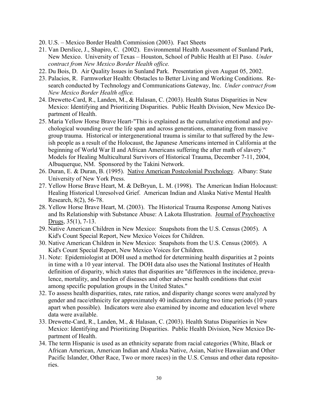- 20. U.S. Mexico Border Health Commission (2003). Fact Sheets
- 21. Van Derslice, J., Shapiro, C. (2002). Environmental Health Assessment of Sunland Park, New Mexico. University of Texas – Houston, School of Public Health at El Paso. Under contract from New Mexico Border Health office.
- 22. Du Bois, D. Air Quality Issues in Sunland Park. Presentation given August 05, 2002.
- 23. Palacios, R. Farmworker Health: Obstacles to Better Living and Working Conditions. Research conducted by Technology and Communications Gateway, Inc. Under contract from New Mexico Border Health office.
- 24. Drewette-Card, R., Landen, M., & Halasan, C. (2003). Health Status Disparities in New Mexico: Identifying and Prioritizing Disparities. Public Health Division, New Mexico Department of Health.
- 25. Maria Yellow Horse Brave Heart-"This is explained as the cumulative emotional and psychological wounding over the life span and across generations, emanating from massive group trauma. Historical or intergenerational trauma is similar to that suffered by the Jewish people as a result of the Holocaust, the Japanese Americans interned in California at the beginning of World War II and African Americans suffering the after math of slavery." Models for Healing Multicultural Survivors of Historical Trauma, December 7-11, 2004, Albuquerque, NM. Sponsored by the Takini Network.
- 26. Duran, E. & Duran, B. (1995). Native American Postcolonial Psychology. Albany: State University of New York Press.
- 27. Yellow Horse Brave Heart, M. & DeBryun, L. M. (1998). The American Indian Holocaust: Healing Historical Unresolved Grief. American Indian and Alaska Native Mental Health Research, 8(2), 56-78.
- 28. Yellow Horse Brave Heart, M. (2003). The Historical Trauma Response Among Natives and Its Relationship with Substance Abuse: A Lakota Illustration. Journal of Psychoactive Drugs, 35(1), 7-13.
- 29. Native American Children in New Mexico: Snapshots from the U.S. Census (2005). A Kid's Count Special Report, New Mexico Voices for Children.
- 30. Native American Children in New Mexico: Snapshots from the U.S. Census (2005). A Kid's Count Special Report, New Mexico Voices for Children.
- 31. Note: Epidemiologist at DOH used a method for determining health disparities at 2 points in time with a 10 year interval. The DOH data also uses the National Institutes of Health definition of disparity, which states that disparities are "differences in the incidence, prevalence, mortality, and burden of diseases and other adverse health conditions that exist among specific population groups in the United States."
- 32. To assess health disparities, rates, rate ratios, and disparity change scores were analyzed by gender and race/ethnicity for approximately 40 indicators during two time periods (10 years apart when possible). Indicators were also examined by income and education level where data were available.
- 33. Drewette-Card, R., Landen, M., & Halasan, C. (2003). Health Status Disparities in New Mexico: Identifying and Prioritizing Disparities. Public Health Division, New Mexico Department of Health.
- 34. The term Hispanic is used as an ethnicity separate from racial categories (White, Black or African American, American Indian and Alaska Native, Asian, Native Hawaiian and Other Pacific Islander, Other Race, Two or more races) in the U.S. Census and other data repositories.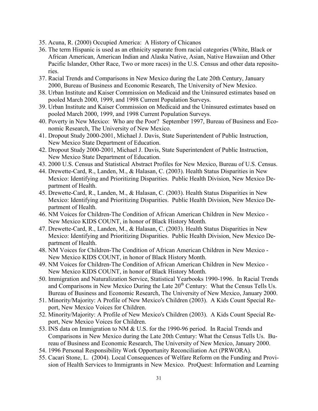- 35. Acuna, R. (2000) Occupied America: A History of Chicanos
- 36. The term Hispanic is used as an ethnicity separate from racial categories (White, Black or African American, American Indian and Alaska Native, Asian, Native Hawaiian and Other Pacific Islander, Other Race, Two or more races) in the U.S. Census and other data repositories.
- 37. Racial Trends and Comparisons in New Mexico during the Late 20th Century, January 2000, Bureau of Business and Economic Research, The University of New Mexico.
- 38. Urban Institute and Kaiser Commission on Medicaid and the Uninsured estimates based on pooled March 2000, 1999, and 1998 Current Population Surveys.
- 39. Urban Institute and Kaiser Commission on Medicaid and the Uninsured estimates based on pooled March 2000, 1999, and 1998 Current Population Surveys.
- 40. Poverty in New Mexico: Who are the Poor? September 1997, Bureau of Business and Economic Research, The University of New Mexico.
- 41. Dropout Study 2000-2001, Michael J. Davis, State Superintendent of Public Instruction, New Mexico State Department of Education.
- 42. Dropout Study 2000-2001, Michael J. Davis, State Superintendent of Public Instruction, New Mexico State Department of Education.
- 43. 2000 U.S. Census and Statistical Abstract Profiles for New Mexico, Bureau of U.S. Census.
- 44. Drewette-Card, R., Landen, M., & Halasan, C. (2003). Health Status Disparities in New Mexico: Identifying and Prioritizing Disparities. Public Health Division, New Mexico Department of Health.
- 45. Drewette-Card, R., Landen, M., & Halasan, C. (2003). Health Status Disparities in New Mexico: Identifying and Prioritizing Disparities. Public Health Division, New Mexico Department of Health.
- 46. NM Voices for Children-The Condition of African American Children in New Mexico New Mexico KIDS COUNT, in honor of Black History Month.
- 47. Drewette-Card, R., Landen, M., & Halasan, C. (2003). Health Status Disparities in New Mexico: Identifying and Prioritizing Disparities. Public Health Division, New Mexico Department of Health.
- 48. NM Voices for Children-The Condition of African American Children in New Mexico New Mexico KIDS COUNT, in honor of Black History Month.
- 49. NM Voices for Children-The Condition of African American Children in New Mexico New Mexico KIDS COUNT, in honor of Black History Month.
- 50. Immigration and Naturalization Service, Statistical Yearbooks 1990-1996. In Racial Trends and Comparisons in New Mexico During the Late 20<sup>th</sup> Century: What the Census Tells Us. Bureau of Business and Economic Research, The University of New Mexico, January 2000.
- 51. Minority/Majority: A Profile of New Mexico's Children (2003). A Kids Count Special Report, New Mexico Voices for Children.
- 52. Minority/Majority: A Profile of New Mexico's Children (2003). A Kids Count Special Report, New Mexico Voices for Children.
- 53. INS data on Immigration to NM & U.S. for the 1990-96 period. In Racial Trends and Comparisons in New Mexico during the Late 20th Century: What the Census Tells Us. Bureau of Business and Economic Research, The University of New Mexico, January 2000.
- 54. 1996 Personal Responsibility Work Opportunity Reconciliation Act (PRWORA).
- 55. Cacari Stone, L. (2004). Local Consequences of Welfare Reform on the Funding and Provision of Health Services to Immigrants in New Mexico. ProQuest: Information and Learning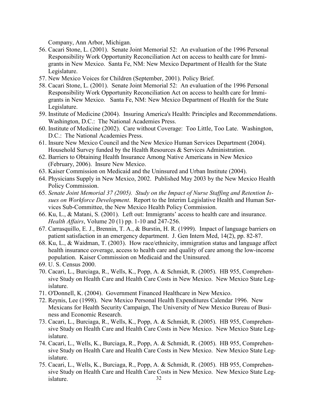Company, Ann Arbor, Michigan.

- 56. Cacari Stone, L. (2001). Senate Joint Memorial 52: An evaluation of the 1996 Personal Responsibility Work Opportunity Reconciliation Act on access to health care for Immigrants in New Mexico. Santa Fe, NM: New Mexico Department of Health for the State Legislature.
- 57. New Mexico Voices for Children (September, 2001). Policy Brief.
- 58. Cacari Stone, L. (2001). Senate Joint Memorial 52: An evaluation of the 1996 Personal Responsibility Work Opportunity Reconciliation Act on access to health care for Immigrants in New Mexico. Santa Fe, NM: New Mexico Department of Health for the State Legislature.
- 59. Institute of Medicine (2004). Insuring America's Health: Principles and Recommendations. Washington, D.C.: The National Academies Press.
- 60. Institute of Medicine (2002). Care without Coverage: Too Little, Too Late. Washington, D.C.: The National Academies Press.
- 61. Insure New Mexico Council and the New Mexico Human Services Department (2004). Household Survey funded by the Health Resources & Services Administration.
- 62. Barriers to Obtaining Health Insurance Among Native Americans in New Mexico (February, 2006). Insure New Mexico.
- 63. Kaiser Commission on Medicaid and the Uninsured and Urban Institute (2004).
- 64. Physicians Supply in New Mexico, 2002. Published May 2003 by the New Mexico Health Policy Commission.
- 65. Senate Joint Memorial 37 (2005). Study on the Impact of Nurse Staffing and Retention Issues on Workforce Development. Report to the Interim Legislative Health and Human Services Sub-Committee, the New Mexico Health Policy Commission.
- 66. Ku, L., & Matani, S. (2001). Left out: Immigrants' access to health care and insurance. Health Affairs, Volume 20 (1) pp. 1-10 and 247-256.
- 67. Carrasquillo, E. J., Brennin, T. A., & Burstin, H. R. (1999). Impact of language barriers on patient satisfaction in an emergency department. J. Gen Intern Med, 14(2), pp. 82-87.
- 68. Ku, L., & Waidman, T. (2003). How race/ethnicity, immigration status and language affect health insurance coverage, access to health care and quality of care among the low-income population. Kaiser Commission on Medicaid and the Uninsured.
- 69. U. S. Census 2000.
- 70. Cacari, L., Burciaga, R., Wells, K., Popp, A. & Schmidt, R. (2005). HB 955, Comprehensive Study on Health Care and Health Care Costs in New Mexico. New Mexico State Legislature.
- 71. O'Donnell, K. (2004). Government Financed Healthcare in New Mexico.
- 72. Reynis, Lee (1998). New Mexico Personal Health Expenditures Calendar 1996. New Mexicans for Health Security Campaign, The University of New Mexico Bureau of Business and Economic Research.
- 73. Cacari, L., Burciaga, R., Wells, K., Popp, A. & Schmidt, R. (2005). HB 955, Comprehensive Study on Health Care and Health Care Costs in New Mexico. New Mexico State Legislature.
- 74. Cacari, L., Wells, K., Burciaga, R., Popp, A. & Schmidt, R. (2005). HB 955, Comprehensive Study on Health Care and Health Care Costs in New Mexico. New Mexico State Legislature.
- 32 75. Cacari, L., Wells, K., Burciaga, R., Popp, A. & Schmidt, R. (2005). HB 955, Comprehensive Study on Health Care and Health Care Costs in New Mexico. New Mexico State Legislature.